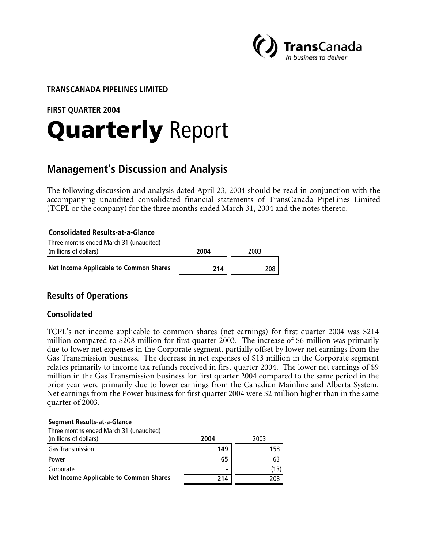

# **TRANSCANADA PIPELINES LIMITED**

# **FIRST QUARTER 2004**

# Quarterly Report

# **Management's Discussion and Analysis**

The following discussion and analysis dated April 23, 2004 should be read in conjunction with the accompanying unaudited consolidated financial statements of TransCanada PipeLines Limited (TCPL or the company) for the three months ended March 31, 2004 and the notes thereto.

**Consolidated Results-at-a-Glance** Three months ended March 31 (unaudited) (millions of dollars) **2004** 2003 **Net Income Applicable to Common Shares 214 208** 

# **Results of Operations**

## **Consolidated**

TCPL's net income applicable to common shares (net earnings) for first quarter 2004 was \$214 million compared to \$208 million for first quarter 2003. The increase of \$6 million was primarily due to lower net expenses in the Corporate segment, partially offset by lower net earnings from the Gas Transmission business. The decrease in net expenses of \$13 million in the Corporate segment relates primarily to income tax refunds received in first quarter 2004. The lower net earnings of \$9 million in the Gas Transmission business for first quarter 2004 compared to the same period in the prior year were primarily due to lower earnings from the Canadian Mainline and Alberta System. Net earnings from the Power business for first quarter 2004 were \$2 million higher than in the same quarter of 2003.

#### **Segment Results-at-a-Glance**

Three months ended March 31 (unaudited)

| (millions of dollars)                  | 2004           | 2003 |
|----------------------------------------|----------------|------|
| <b>Gas Transmission</b>                | 149            | 158  |
| Power                                  | 65             | 63   |
| Corporate                              | $\blacksquare$ |      |
| Net Income Applicable to Common Shares | 214            | 208  |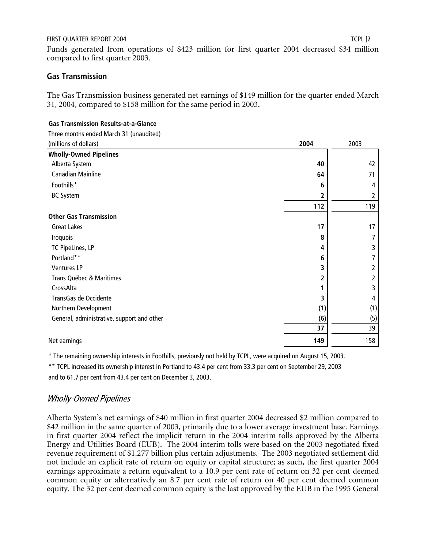Funds generated from operations of \$423 million for first quarter 2004 decreased \$34 million compared to first quarter 2003.

# **Gas Transmission**

The Gas Transmission business generated net earnings of \$149 million for the quarter ended March 31, 2004, compared to \$158 million for the same period in 2003.

#### **Gas Transmission Results-at-a-Glance**

Three months ended March 31 (unaudited)

| (millions of dollars)                      | 2004 | 2003 |
|--------------------------------------------|------|------|
| <b>Wholly-Owned Pipelines</b>              |      |      |
| Alberta System                             | 40   | 42   |
| <b>Canadian Mainline</b>                   | 64   | 71   |
| Foothills*                                 | 6    | 4    |
| <b>BC System</b>                           | 2    | 2    |
|                                            | 112  | 119  |
| <b>Other Gas Transmission</b>              |      |      |
| <b>Great Lakes</b>                         | 17   | 17   |
| Iroquois                                   | 8    | 7    |
| TC PipeLines, LP                           | 4    | 3    |
| Portland**                                 | 6    |      |
| Ventures LP                                | 3    | 2    |
| Trans Québec & Maritimes                   | 2    | 2    |
| CrossAlta                                  |      | 3    |
| TransGas de Occidente                      | 3    | 4    |
| Northern Development                       | (1)  | (1)  |
| General, administrative, support and other | (6)  | (5)  |
|                                            | 37   | 39   |
| Net earnings                               | 149  | 158  |
|                                            |      |      |

\* The remaining ownership interests in Foothills, previously not held by TCPL, were acquired on August 15, 2003.

\*\* TCPL increased its ownership interest in Portland to 43.4 per cent from 33.3 per cent on September 29, 2003 and to 61.7 per cent from 43.4 per cent on December 3, 2003.

# Wholly-Owned Pipelines

Alberta System's net earnings of \$40 million in first quarter 2004 decreased \$2 million compared to \$42 million in the same quarter of 2003, primarily due to a lower average investment base. Earnings in first quarter 2004 reflect the implicit return in the 2004 interim tolls approved by the Alberta Energy and Utilities Board (EUB). The 2004 interim tolls were based on the 2003 negotiated fixed revenue requirement of \$1.277 billion plus certain adjustments. The 2003 negotiated settlement did not include an explicit rate of return on equity or capital structure; as such, the first quarter 2004 earnings approximate a return equivalent to a 10.9 per cent rate of return on 32 per cent deemed common equity or alternatively an 8.7 per cent rate of return on 40 per cent deemed common equity. The 32 per cent deemed common equity is the last approved by the EUB in the 1995 General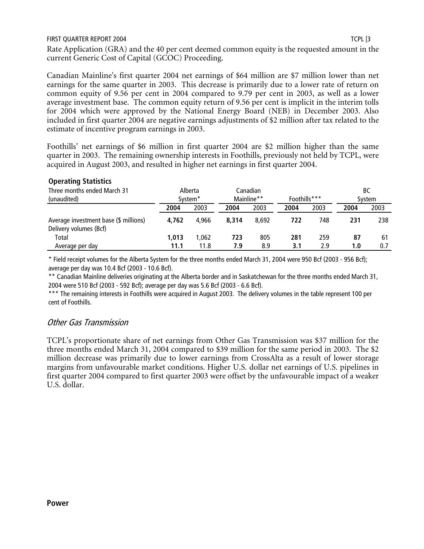Rate Application (GRA) and the 40 per cent deemed common equity is the requested amount in the current Generic Cost of Capital (GCOC) Proceeding.

Canadian Mainline's first quarter 2004 net earnings of \$64 million are \$7 million lower than net earnings for the same quarter in 2003. This decrease is primarily due to a lower rate of return on common equity of 9.56 per cent in 2004 compared to 9.79 per cent in 2003, as well as a lower average investment base. The common equity return of 9.56 per cent is implicit in the interim tolls for 2004 which were approved by the National Energy Board (NEB) in December 2003. Also included in first quarter 2004 are negative earnings adjustments of \$2 million after tax related to the estimate of incentive program earnings in 2003.

Foothills' net earnings of \$6 million in first quarter 2004 are \$2 million higher than the same quarter in 2003. The remaining ownership interests in Foothills, previously not held by TCPL, were acquired in August 2003, and resulted in higher net earnings in first quarter 2004.

| Three months ended March 31<br>(unaudited)                      |               | Alberta<br>System <sup>*</sup> |            | Canadian<br>Mainline** | Foothills*** |            |           | ВC<br>Svstem |
|-----------------------------------------------------------------|---------------|--------------------------------|------------|------------------------|--------------|------------|-----------|--------------|
|                                                                 | 2004          | 2003                           | 2004       | 2003                   | 2004         | 2003       | 2004      | 2003         |
| Average investment base (\$ millions)<br>Delivery volumes (Bcf) | 4.762         | 4.966                          | 8.314      | 8.692                  | 722          | 748        | 231       | 238          |
| Total<br>Average per day                                        | 1,013<br>11.1 | 1.062<br>11.8                  | 723<br>7.9 | 805<br>8.9             | 281<br>3.1   | 259<br>2.9 | 87<br>1.0 | 61<br>0.7    |

## **Operating Statistics**

\* Field receipt volumes for the Alberta System for the three months ended March 31, 2004 were 950 Bcf (2003 - 956 Bcf); average per day was 10.4 Bcf (2003 - 10.6 Bcf).

\*\* Canadian Mainline deliveries originating at the Alberta border and in Saskatchewan for the three months ended March 31, 2004 were 510 Bcf (2003 - 592 Bcf); average per day was 5.6 Bcf (2003 - 6.6 Bcf).

\*\*\* The remaining interests in Foothills were acquired in August 2003. The delivery volumes in the table represent 100 per cent of Foothills.

## Other Gas Transmission

TCPL's proportionate share of net earnings from Other Gas Transmission was \$37 million for the three months ended March 31, 2004 compared to \$39 million for the same period in 2003. The \$2 million decrease was primarily due to lower earnings from CrossAlta as a result of lower storage margins from unfavourable market conditions. Higher U.S. dollar net earnings of U.S. pipelines in first quarter 2004 compared to first quarter 2003 were offset by the unfavourable impact of a weaker U.S. dollar.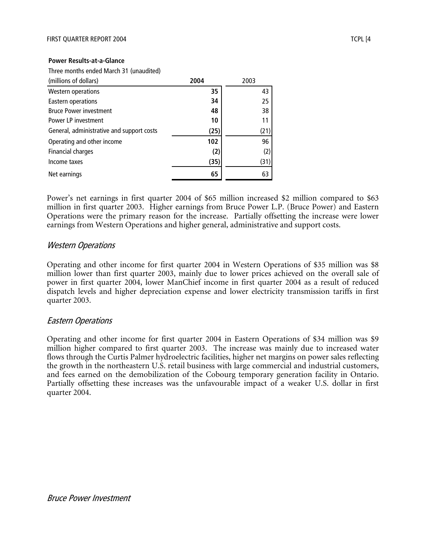#### **Power Results-at-a-Glance**

Three months ended March 31 (unaudited)

| (millions of dollars)                     | 2004 | 2003 |
|-------------------------------------------|------|------|
| <b>Western operations</b>                 | 35   | 43   |
| Eastern operations                        | 34   | 25   |
| <b>Bruce Power investment</b>             | 48   | 38   |
| Power LP investment                       | 10   | 11   |
| General, administrative and support costs | (25) | (21) |
| Operating and other income                | 102  | 96   |
| Financial charges                         | (2)  | (2)  |
| Income taxes                              | (35) | (31) |
| Net earnings                              | 65   | 63   |

Power's net earnings in first quarter 2004 of \$65 million increased \$2 million compared to \$63 million in first quarter 2003. Higher earnings from Bruce Power L.P. (Bruce Power) and Eastern Operations were the primary reason for the increase. Partially offsetting the increase were lower earnings from Western Operations and higher general, administrative and support costs.

#### Western Operations

Operating and other income for first quarter 2004 in Western Operations of \$35 million was \$8 million lower than first quarter 2003, mainly due to lower prices achieved on the overall sale of power in first quarter 2004, lower ManChief income in first quarter 2004 as a result of reduced dispatch levels and higher depreciation expense and lower electricity transmission tariffs in first quarter 2003.

## Eastern Operations

Operating and other income for first quarter 2004 in Eastern Operations of \$34 million was \$9 million higher compared to first quarter 2003. The increase was mainly due to increased water flows through the Curtis Palmer hydroelectric facilities, higher net margins on power sales reflecting the growth in the northeastern U.S. retail business with large commercial and industrial customers, and fees earned on the demobilization of the Cobourg temporary generation facility in Ontario. Partially offsetting these increases was the unfavourable impact of a weaker U.S. dollar in first quarter 2004.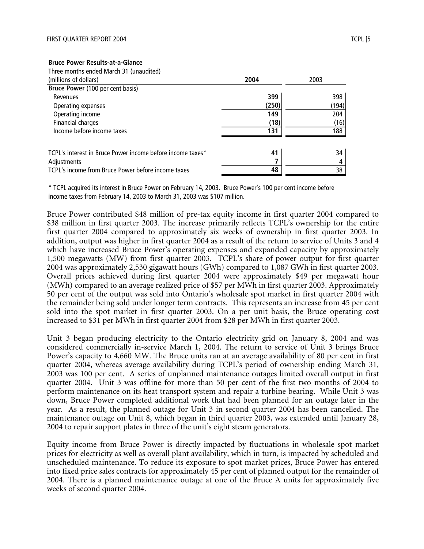| Three months ended March 31 (unaudited)                    |       |       |
|------------------------------------------------------------|-------|-------|
| (millions of dollars)                                      | 2004  | 2003  |
| Bruce Power (100 per cent basis)                           |       |       |
| Revenues                                                   | 399   | 398   |
| Operating expenses                                         | (250) | (194) |
| Operating income                                           | 149   | 204   |
| Financial charges                                          | (18)  | (16)  |
| Income before income taxes                                 | 131   | 188   |
| TCPL's interest in Bruce Power income before income taxes* | 41    | 34    |
| Adjustments                                                |       | 4     |
| TCPL's income from Bruce Power before income taxes         | 48    | 38    |

\* TCPL acquired its interest in Bruce Power on February 14, 2003. Bruce Power's 100 per cent income before income taxes from February 14, 2003 to March 31, 2003 was \$107 million.

Bruce Power contributed \$48 million of pre-tax equity income in first quarter 2004 compared to \$38 million in first quarter 2003. The increase primarily reflects TCPL's ownership for the entire first quarter 2004 compared to approximately six weeks of ownership in first quarter 2003. In addition, output was higher in first quarter 2004 as a result of the return to service of Units 3 and 4 which have increased Bruce Power's operating expenses and expanded capacity by approximately 1,500 megawatts (MW) from first quarter 2003. TCPL's share of power output for first quarter 2004 was approximately 2,530 gigawatt hours (GWh) compared to 1,087 GWh in first quarter 2003. Overall prices achieved during first quarter 2004 were approximately \$49 per megawatt hour (MWh) compared to an average realized price of \$57 per MWh in first quarter 2003. Approximately 50 per cent of the output was sold into Ontario's wholesale spot market in first quarter 2004 with the remainder being sold under longer term contracts. This represents an increase from 45 per cent sold into the spot market in first quarter 2003. On a per unit basis, the Bruce operating cost increased to \$31 per MWh in first quarter 2004 from \$28 per MWh in first quarter 2003.

Unit 3 began producing electricity to the Ontario electricity grid on January 8, 2004 and was considered commercially in-service March 1, 2004. The return to service of Unit 3 brings Bruce Power's capacity to 4,660 MW. The Bruce units ran at an average availability of 80 per cent in first quarter 2004, whereas average availability during TCPL's period of ownership ending March 31, 2003 was 100 per cent. A series of unplanned maintenance outages limited overall output in first quarter 2004. Unit 3 was offline for more than 50 per cent of the first two months of 2004 to perform maintenance on its heat transport system and repair a turbine bearing. While Unit 3 was down, Bruce Power completed additional work that had been planned for an outage later in the year. As a result, the planned outage for Unit 3 in second quarter 2004 has been cancelled. The maintenance outage on Unit 8, which began in third quarter 2003, was extended until January 28, 2004 to repair support plates in three of the unit's eight steam generators.

Equity income from Bruce Power is directly impacted by fluctuations in wholesale spot market prices for electricity as well as overall plant availability, which in turn, is impacted by scheduled and unscheduled maintenance. To reduce its exposure to spot market prices, Bruce Power has entered into fixed price sales contracts for approximately 45 per cent of planned output for the remainder of 2004. There is a planned maintenance outage at one of the Bruce A units for approximately five weeks of second quarter 2004.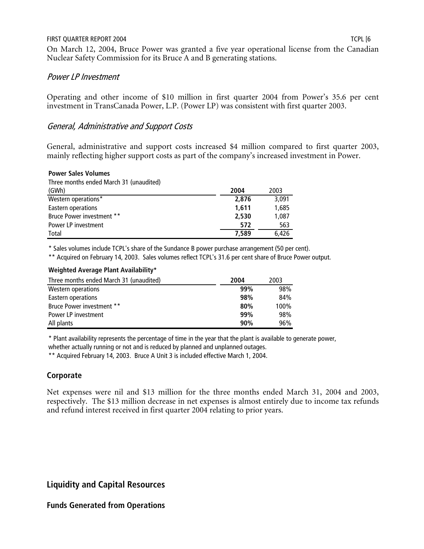On March 12, 2004, Bruce Power was granted a five year operational license from the Canadian Nuclear Safety Commission for its Bruce A and B generating stations.

# Power LP Investment

Operating and other income of \$10 million in first quarter 2004 from Power's 35.6 per cent investment in TransCanada Power, L.P. (Power LP) was consistent with first quarter 2003.

# General, Administrative and Support Costs

General, administrative and support costs increased \$4 million compared to first quarter 2003, mainly reflecting higher support costs as part of the company's increased investment in Power.

#### **Power Sales Volumes**

Three months ended March 31 (unaudited)

| (GWh)                     | 2004  | 2003  |
|---------------------------|-------|-------|
| Western operations*       | 2.876 | 3.091 |
| Eastern operations        | 1,611 | 1,685 |
| Bruce Power investment ** | 2,530 | 1,087 |
| Power LP investment       | 572   | 563   |
| Total                     | 7,589 | 6.426 |

\* Sales volumes include TCPL's share of the Sundance B power purchase arrangement (50 per cent).

\*\* Acquired on February 14, 2003. Sales volumes reflect TCPL's 31.6 per cent share of Bruce Power output.

#### **Weighted Average Plant Availability\***

| Three months ended March 31 (unaudited) | 2004 | 2003 |
|-----------------------------------------|------|------|
| Western operations                      | 99%  | 98%  |
| Eastern operations                      | 98%  | 84%  |
| Bruce Power investment **               | 80%  | 100% |
| <b>Power LP investment</b>              | 99%  | 98%  |
| All plants                              | 90%  | 96%  |

\* Plant availability represents the percentage of time in the year that the plant is available to generate power,

whether actually running or not and is reduced by planned and unplanned outages.

\*\* Acquired February 14, 2003. Bruce A Unit 3 is included effective March 1, 2004.

# **Corporate**

Net expenses were nil and \$13 million for the three months ended March 31, 2004 and 2003, respectively. The \$13 million decrease in net expenses is almost entirely due to income tax refunds and refund interest received in first quarter 2004 relating to prior years.

# **Liquidity and Capital Resources**

## **Funds Generated from Operations**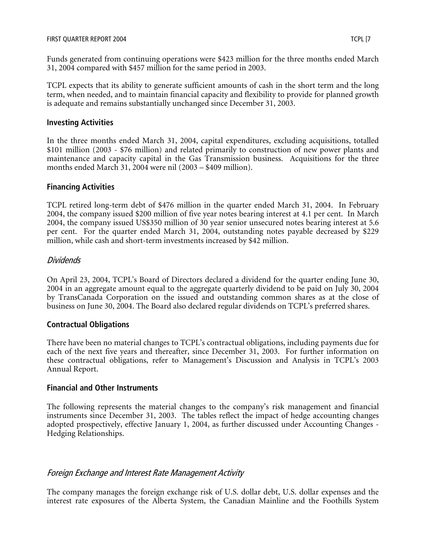Funds generated from continuing operations were \$423 million for the three months ended March 31, 2004 compared with \$457 million for the same period in 2003.

TCPL expects that its ability to generate sufficient amounts of cash in the short term and the long term, when needed, and to maintain financial capacity and flexibility to provide for planned growth is adequate and remains substantially unchanged since December 31, 2003.

## **Investing Activities**

In the three months ended March 31, 2004, capital expenditures, excluding acquisitions, totalled \$101 million (2003 - \$76 million) and related primarily to construction of new power plants and maintenance and capacity capital in the Gas Transmission business. Acquisitions for the three months ended March 31, 2004 were nil (2003 – \$409 million).

# **Financing Activities**

TCPL retired long-term debt of \$476 million in the quarter ended March 31, 2004. In February 2004, the company issued \$200 million of five year notes bearing interest at 4.1 per cent. In March 2004, the company issued US\$350 million of 30 year senior unsecured notes bearing interest at 5.6 per cent. For the quarter ended March 31, 2004, outstanding notes payable decreased by \$229 million, while cash and short-term investments increased by \$42 million.

# Dividends

On April 23, 2004, TCPL's Board of Directors declared a dividend for the quarter ending June 30, 2004 in an aggregate amount equal to the aggregate quarterly dividend to be paid on July 30, 2004 by TransCanada Corporation on the issued and outstanding common shares as at the close of business on June 30, 2004. The Board also declared regular dividends on TCPL's preferred shares.

# **Contractual Obligations**

There have been no material changes to TCPL's contractual obligations, including payments due for each of the next five years and thereafter, since December 31, 2003. For further information on these contractual obligations, refer to Management's Discussion and Analysis in TCPL's 2003 Annual Report.

# **Financial and Other Instruments**

The following represents the material changes to the company's risk management and financial instruments since December 31, 2003. The tables reflect the impact of hedge accounting changes adopted prospectively, effective January 1, 2004, as further discussed under Accounting Changes - Hedging Relationships.

# Foreign Exchange and Interest Rate Management Activity

The company manages the foreign exchange risk of U.S. dollar debt, U.S. dollar expenses and the interest rate exposures of the Alberta System, the Canadian Mainline and the Foothills System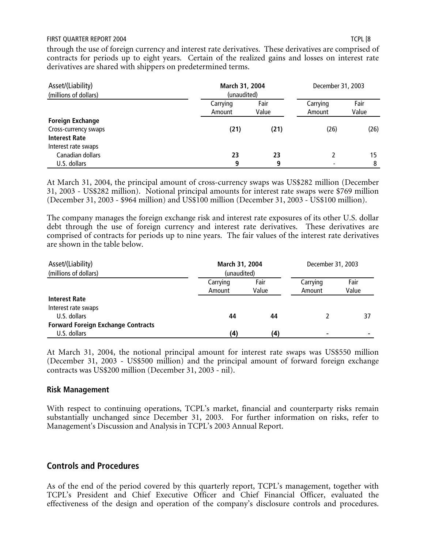through the use of foreign currency and interest rate derivatives. These derivatives are comprised of contracts for periods up to eight years. Certain of the realized gains and losses on interest rate derivatives are shared with shippers on predetermined terms.

| Asset/(Liability)<br>(millions of dollars)                      | March 31, 2004<br>(unaudited) |               | December 31, 2003        |               |
|-----------------------------------------------------------------|-------------------------------|---------------|--------------------------|---------------|
|                                                                 | Carrying<br>Amount            | Fair<br>Value | Carrying<br>Amount       | Fair<br>Value |
| <b>Foreign Exchange</b><br>Cross-currency swaps                 | (21)                          | (21)          | (26)                     | (26)          |
| <b>Interest Rate</b><br>Interest rate swaps<br>Canadian dollars | 23                            | 23            |                          | 15            |
| U.S. dollars                                                    | 9                             | 9             | $\overline{\phantom{a}}$ | 8             |

At March 31, 2004, the principal amount of cross-currency swaps was US\$282 million (December 31, 2003 - US\$282 million). Notional principal amounts for interest rate swaps were \$769 million (December 31, 2003 - \$964 million) and US\$100 million (December 31, 2003 - US\$100 million).

The company manages the foreign exchange risk and interest rate exposures of its other U.S. dollar debt through the use of foreign currency and interest rate derivatives. These derivatives are comprised of contracts for periods up to nine years. The fair values of the interest rate derivatives are shown in the table below.

| Asset/(Liability)                         |             | March 31, 2004 |          | December 31, 2003 |  |
|-------------------------------------------|-------------|----------------|----------|-------------------|--|
| (millions of dollars)                     | (unaudited) |                |          |                   |  |
|                                           | Carrying    | Fair           | Carrying | Fair              |  |
|                                           | Amount      | Value          | Amount   | Value             |  |
| <b>Interest Rate</b>                      |             |                |          |                   |  |
| Interest rate swaps                       |             |                |          |                   |  |
| U.S. dollars                              | 44          | 44             |          | 37                |  |
| <b>Forward Foreign Exchange Contracts</b> |             |                |          |                   |  |
| U.S. dollars                              | (4)         | (4)            |          |                   |  |

At March 31, 2004, the notional principal amount for interest rate swaps was US\$550 million (December 31, 2003 - US\$500 million) and the principal amount of forward foreign exchange contracts was US\$200 million (December 31, 2003 - nil).

#### **Risk Management**

With respect to continuing operations, TCPL's market, financial and counterparty risks remain substantially unchanged since December 31, 2003. For further information on risks, refer to Management's Discussion and Analysis in TCPL's 2003 Annual Report.

## **Controls and Procedures**

As of the end of the period covered by this quarterly report, TCPL's management, together with TCPL's President and Chief Executive Officer and Chief Financial Officer, evaluated the effectiveness of the design and operation of the company's disclosure controls and procedures.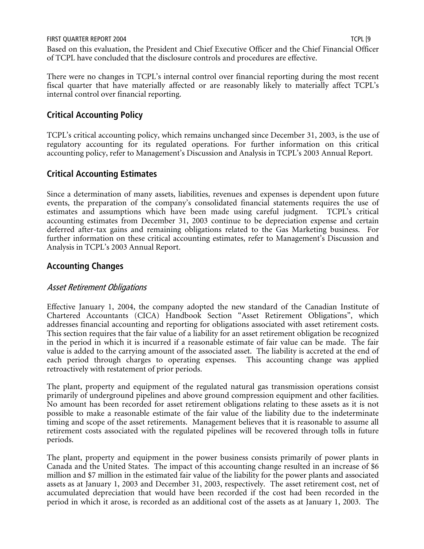Based on this evaluation, the President and Chief Executive Officer and the Chief Financial Officer of TCPL have concluded that the disclosure controls and procedures are effective.

There were no changes in TCPL's internal control over financial reporting during the most recent fiscal quarter that have materially affected or are reasonably likely to materially affect TCPL's internal control over financial reporting.

# **Critical Accounting Policy**

TCPL's critical accounting policy, which remains unchanged since December 31, 2003, is the use of regulatory accounting for its regulated operations. For further information on this critical accounting policy, refer to Management's Discussion and Analysis in TCPL's 2003 Annual Report.

# **Critical Accounting Estimates**

Since a determination of many assets, liabilities, revenues and expenses is dependent upon future events, the preparation of the company's consolidated financial statements requires the use of estimates and assumptions which have been made using careful judgment. TCPL's critical accounting estimates from December 31, 2003 continue to be depreciation expense and certain deferred after-tax gains and remaining obligations related to the Gas Marketing business. For further information on these critical accounting estimates, refer to Management's Discussion and Analysis in TCPL's 2003 Annual Report.

# **Accounting Changes**

# Asset Retirement Obligations

Effective January 1, 2004, the company adopted the new standard of the Canadian Institute of Chartered Accountants (CICA) Handbook Section "Asset Retirement Obligations", which addresses financial accounting and reporting for obligations associated with asset retirement costs. This section requires that the fair value of a liability for an asset retirement obligation be recognized in the period in which it is incurred if a reasonable estimate of fair value can be made. The fair value is added to the carrying amount of the associated asset. The liability is accreted at the end of each period through charges to operating expenses. This accounting change was applied retroactively with restatement of prior periods.

The plant, property and equipment of the regulated natural gas transmission operations consist primarily of underground pipelines and above ground compression equipment and other facilities. No amount has been recorded for asset retirement obligations relating to these assets as it is not possible to make a reasonable estimate of the fair value of the liability due to the indeterminate timing and scope of the asset retirements. Management believes that it is reasonable to assume all retirement costs associated with the regulated pipelines will be recovered through tolls in future periods.

The plant, property and equipment in the power business consists primarily of power plants in Canada and the United States. The impact of this accounting change resulted in an increase of \$6 million and \$7 million in the estimated fair value of the liability for the power plants and associated assets as at January 1, 2003 and December 31, 2003, respectively. The asset retirement cost, net of accumulated depreciation that would have been recorded if the cost had been recorded in the period in which it arose, is recorded as an additional cost of the assets as at January 1, 2003. The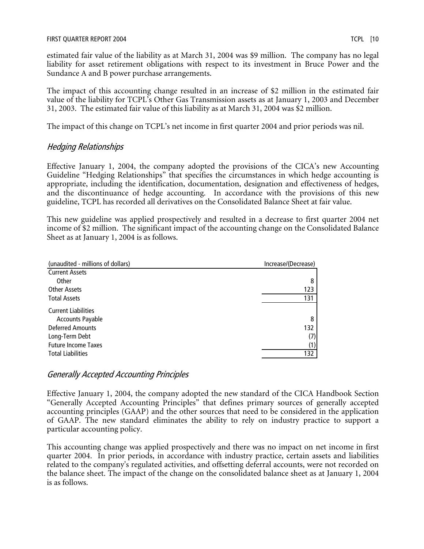estimated fair value of the liability as at March 31, 2004 was \$9 million. The company has no legal liability for asset retirement obligations with respect to its investment in Bruce Power and the Sundance A and B power purchase arrangements.

The impact of this accounting change resulted in an increase of \$2 million in the estimated fair value of the liability for TCPL's Other Gas Transmission assets as at January 1, 2003 and December 31, 2003. The estimated fair value of this liability as at March 31, 2004 was \$2 million.

The impact of this change on TCPL's net income in first quarter 2004 and prior periods was nil.

# Hedging Relationships

Effective January 1, 2004, the company adopted the provisions of the CICA's new Accounting Guideline "Hedging Relationships" that specifies the circumstances in which hedge accounting is appropriate, including the identification, documentation, designation and effectiveness of hedges, and the discontinuance of hedge accounting. In accordance with the provisions of this new guideline, TCPL has recorded all derivatives on the Consolidated Balance Sheet at fair value.

This new guideline was applied prospectively and resulted in a decrease to first quarter 2004 net income of \$2 million. The significant impact of the accounting change on the Consolidated Balance Sheet as at January 1, 2004 is as follows.

| (unaudited - millions of dollars)                  | Increase/(Decrease) |
|----------------------------------------------------|---------------------|
| <b>Current Assets</b>                              |                     |
| Other                                              | 8                   |
| Other Assets                                       | 123                 |
| <b>Total Assets</b>                                | 131                 |
| <b>Current Liabilities</b>                         | 8                   |
| <b>Accounts Payable</b><br><b>Deferred Amounts</b> | 132                 |
| Long-Term Debt                                     | (7)                 |
| <b>Future Income Taxes</b>                         | (1)                 |
| <b>Total Liabilities</b>                           | 132                 |
|                                                    |                     |

# Generally Accepted Accounting Principles

Effective January 1, 2004, the company adopted the new standard of the CICA Handbook Section "Generally Accepted Accounting Principles" that defines primary sources of generally accepted accounting principles (GAAP) and the other sources that need to be considered in the application of GAAP. The new standard eliminates the ability to rely on industry practice to support a particular accounting policy.

This accounting change was applied prospectively and there was no impact on net income in first quarter 2004. In prior periods, in accordance with industry practice, certain assets and liabilities related to the company's regulated activities, and offsetting deferral accounts, were not recorded on the balance sheet. The impact of the change on the consolidated balance sheet as at January 1, 2004 is as follows.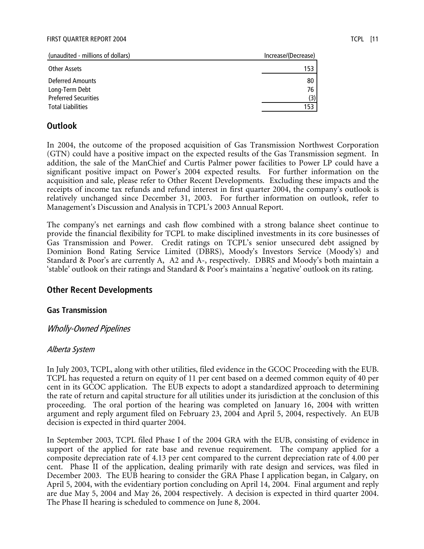| (unaudited - millions of dollars)  | Increase/(Decrease) |
|------------------------------------|---------------------|
| Other Assets                       | 153                 |
| Deferred Amounts<br>Long-Term Debt | 80<br>76            |
| <b>Preferred Securities</b>        | (3)                 |
| <b>Total Liabilities</b>           | 153                 |

# **Outlook**

In 2004, the outcome of the proposed acquisition of Gas Transmission Northwest Corporation (GTN) could have a positive impact on the expected results of the Gas Transmission segment. In addition, the sale of the ManChief and Curtis Palmer power facilities to Power LP could have a significant positive impact on Power's 2004 expected results. For further information on the acquisition and sale, please refer to Other Recent Developments. Excluding these impacts and the receipts of income tax refunds and refund interest in first quarter 2004, the company's outlook is relatively unchanged since December 31, 2003. For further information on outlook, refer to Management's Discussion and Analysis in TCPL's 2003 Annual Report.

The company's net earnings and cash flow combined with a strong balance sheet continue to provide the financial flexibility for TCPL to make disciplined investments in its core businesses of Gas Transmission and Power. Credit ratings on TCPL's senior unsecured debt assigned by Dominion Bond Rating Service Limited (DBRS), Moody's Investors Service (Moody's) and Standard & Poor's are currently A, A2 and A-, respectively. DBRS and Moody's both maintain a 'stable' outlook on their ratings and Standard & Poor's maintains a 'negative' outlook on its rating.

## **Other Recent Developments**

## **Gas Transmission**

## Wholly-Owned Pipelines

## Alberta System

In July 2003, TCPL, along with other utilities, filed evidence in the GCOC Proceeding with the EUB. TCPL has requested a return on equity of 11 per cent based on a deemed common equity of 40 per cent in its GCOC application. The EUB expects to adopt a standardized approach to determining the rate of return and capital structure for all utilities under its jurisdiction at the conclusion of this proceeding. The oral portion of the hearing was completed on January 16, 2004 with written argument and reply argument filed on February 23, 2004 and April 5, 2004, respectively. An EUB decision is expected in third quarter 2004.

In September 2003, TCPL filed Phase I of the 2004 GRA with the EUB, consisting of evidence in support of the applied for rate base and revenue requirement. The company applied for a composite depreciation rate of 4.13 per cent compared to the current depreciation rate of 4.00 per cent. Phase II of the application, dealing primarily with rate design and services, was filed in December 2003. The EUB hearing to consider the GRA Phase I application began, in Calgary, on April 5, 2004, with the evidentiary portion concluding on April 14, 2004. Final argument and reply are due May 5, 2004 and May 26, 2004 respectively. A decision is expected in third quarter 2004. The Phase II hearing is scheduled to commence on June 8, 2004.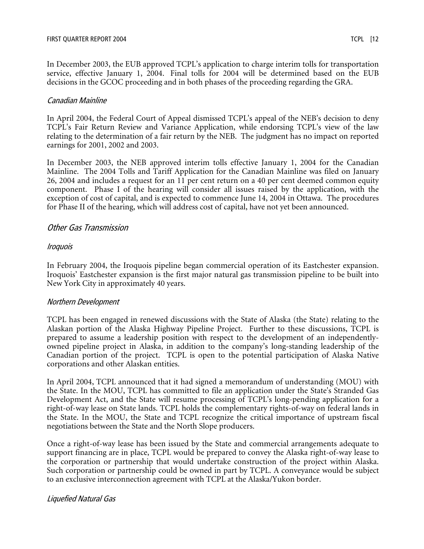In December 2003, the EUB approved TCPL's application to charge interim tolls for transportation service, effective January 1, 2004. Final tolls for 2004 will be determined based on the EUB decisions in the GCOC proceeding and in both phases of the proceeding regarding the GRA.

#### Canadian Mainline

In April 2004, the Federal Court of Appeal dismissed TCPL's appeal of the NEB's decision to deny TCPL's Fair Return Review and Variance Application, while endorsing TCPL's view of the law relating to the determination of a fair return by the NEB. The judgment has no impact on reported earnings for 2001, 2002 and 2003.

In December 2003, the NEB approved interim tolls effective January 1, 2004 for the Canadian Mainline. The 2004 Tolls and Tariff Application for the Canadian Mainline was filed on January 26, 2004 and includes a request for an 11 per cent return on a 40 per cent deemed common equity component. Phase I of the hearing will consider all issues raised by the application, with the exception of cost of capital, and is expected to commence June 14, 2004 in Ottawa. The procedures for Phase II of the hearing, which will address cost of capital, have not yet been announced.

## Other Gas Transmission

#### Iroquois

In February 2004, the Iroquois pipeline began commercial operation of its Eastchester expansion. Iroquois' Eastchester expansion is the first major natural gas transmission pipeline to be built into New York City in approximately 40 years.

#### Northern Development

TCPL has been engaged in renewed discussions with the State of Alaska (the State) relating to the Alaskan portion of the Alaska Highway Pipeline Project. Further to these discussions, TCPL is prepared to assume a leadership position with respect to the development of an independentlyowned pipeline project in Alaska, in addition to the company's long-standing leadership of the Canadian portion of the project. TCPL is open to the potential participation of Alaska Native corporations and other Alaskan entities.

In April 2004, TCPL announced that it had signed a memorandum of understanding (MOU) with the State. In the MOU, TCPL has committed to file an application under the State's Stranded Gas Development Act, and the State will resume processing of TCPL's long-pending application for a right-of-way lease on State lands. TCPL holds the complementary rights-of-way on federal lands in the State. In the MOU, the State and TCPL recognize the critical importance of upstream fiscal negotiations between the State and the North Slope producers.

Once a right-of-way lease has been issued by the State and commercial arrangements adequate to support financing are in place, TCPL would be prepared to convey the Alaska right-of-way lease to the corporation or partnership that would undertake construction of the project within Alaska. Such corporation or partnership could be owned in part by TCPL. A conveyance would be subject to an exclusive interconnection agreement with TCPL at the Alaska/Yukon border.

## Liquefied Natural Gas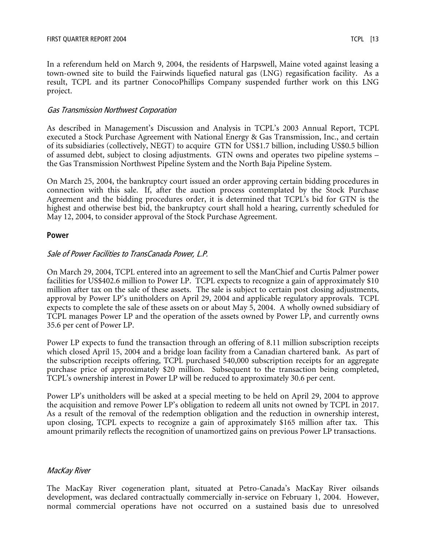In a referendum held on March 9, 2004, the residents of Harpswell, Maine voted against leasing a town-owned site to build the Fairwinds liquefied natural gas (LNG) regasification facility. As a result, TCPL and its partner ConocoPhillips Company suspended further work on this LNG project.

#### Gas Transmission Northwest Corporation

As described in Management's Discussion and Analysis in TCPL's 2003 Annual Report, TCPL executed a Stock Purchase Agreement with National Energy & Gas Transmission, Inc., and certain of its subsidiaries (collectively, NEGT) to acquire GTN for US\$1.7 billion, including US\$0.5 billion of assumed debt, subject to closing adjustments. GTN owns and operates two pipeline systems – the Gas Transmission Northwest Pipeline System and the North Baja Pipeline System.

On March 25, 2004, the bankruptcy court issued an order approving certain bidding procedures in connection with this sale. If, after the auction process contemplated by the Stock Purchase Agreement and the bidding procedures order, it is determined that TCPL's bid for GTN is the highest and otherwise best bid, the bankruptcy court shall hold a hearing, currently scheduled for May 12, 2004, to consider approval of the Stock Purchase Agreement.

#### **Power**

## Sale of Power Facilities to TransCanada Power, L.P.

On March 29, 2004, TCPL entered into an agreement to sell the ManChief and Curtis Palmer power facilities for US\$402.6 million to Power LP. TCPL expects to recognize a gain of approximately \$10 million after tax on the sale of these assets. The sale is subject to certain post closing adjustments, approval by Power LP's unitholders on April 29, 2004 and applicable regulatory approvals. TCPL expects to complete the sale of these assets on or about May 5, 2004. A wholly owned subsidiary of TCPL manages Power LP and the operation of the assets owned by Power LP, and currently owns 35.6 per cent of Power LP.

Power LP expects to fund the transaction through an offering of 8.11 million subscription receipts which closed April 15, 2004 and a bridge loan facility from a Canadian chartered bank. As part of the subscription receipts offering, TCPL purchased 540,000 subscription receipts for an aggregate purchase price of approximately \$20 million. Subsequent to the transaction being completed, TCPL's ownership interest in Power LP will be reduced to approximately 30.6 per cent.

Power LP's unitholders will be asked at a special meeting to be held on April 29, 2004 to approve the acquisition and remove Power LP's obligation to redeem all units not owned by TCPL in 2017. As a result of the removal of the redemption obligation and the reduction in ownership interest, upon closing, TCPL expects to recognize a gain of approximately \$165 million after tax. This amount primarily reflects the recognition of unamortized gains on previous Power LP transactions.

## MacKay River

The MacKay River cogeneration plant, situated at Petro-Canada's MacKay River oilsands development, was declared contractually commercially in-service on February 1, 2004. However, normal commercial operations have not occurred on a sustained basis due to unresolved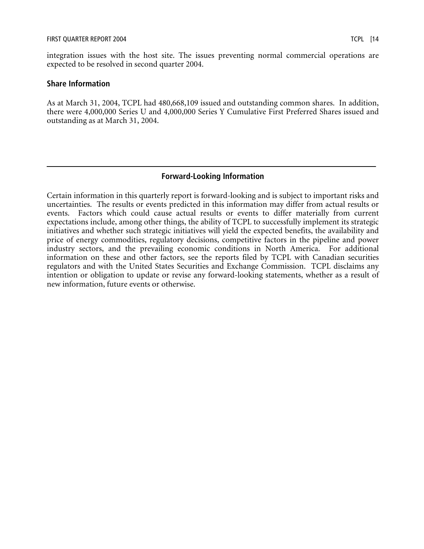integration issues with the host site. The issues preventing normal commercial operations are expected to be resolved in second quarter 2004.

#### **Share Information**

As at March 31, 2004, TCPL had 480,668,109 issued and outstanding common shares. In addition, there were 4,000,000 Series U and 4,000,000 Series Y Cumulative First Preferred Shares issued and outstanding as at March 31, 2004.

## **Forward-Looking Information**

Certain information in this quarterly report is forward-looking and is subject to important risks and uncertainties. The results or events predicted in this information may differ from actual results or events. Factors which could cause actual results or events to differ materially from current expectations include, among other things, the ability of TCPL to successfully implement its strategic initiatives and whether such strategic initiatives will yield the expected benefits, the availability and price of energy commodities, regulatory decisions, competitive factors in the pipeline and power industry sectors, and the prevailing economic conditions in North America. For additional information on these and other factors, see the reports filed by TCPL with Canadian securities regulators and with the United States Securities and Exchange Commission. TCPL disclaims any intention or obligation to update or revise any forward-looking statements, whether as a result of new information, future events or otherwise.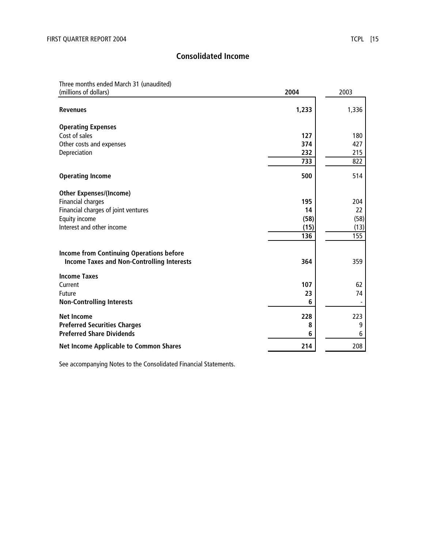# **Consolidated Income**

# Three months ended March 31 (unaudited)

| (millions of dollars)                             | 2004  | 2003  |
|---------------------------------------------------|-------|-------|
| <b>Revenues</b>                                   | 1,233 | 1,336 |
| <b>Operating Expenses</b>                         |       |       |
| Cost of sales                                     | 127   | 180   |
| Other costs and expenses                          | 374   | 427   |
| Depreciation                                      | 232   | 215   |
|                                                   | 733   | 822   |
| <b>Operating Income</b>                           | 500   | 514   |
| <b>Other Expenses/(Income)</b>                    |       |       |
| <b>Financial charges</b>                          | 195   | 204   |
| Financial charges of joint ventures               | 14    | 22    |
| Equity income                                     | (58)  | (58)  |
| Interest and other income                         | (15)  | (13)  |
|                                                   | 136   | 155   |
| <b>Income from Continuing Operations before</b>   |       |       |
| <b>Income Taxes and Non-Controlling Interests</b> | 364   | 359   |
| <b>Income Taxes</b>                               |       |       |
| Current                                           | 107   | 62    |
| Future                                            | 23    | 74    |
| <b>Non-Controlling Interests</b>                  | 6     |       |
| <b>Net Income</b>                                 | 228   | 223   |
| <b>Preferred Securities Charges</b>               | 8     | 9     |
| <b>Preferred Share Dividends</b>                  | 6     | 6     |
| <b>Net Income Applicable to Common Shares</b>     | 214   | 208   |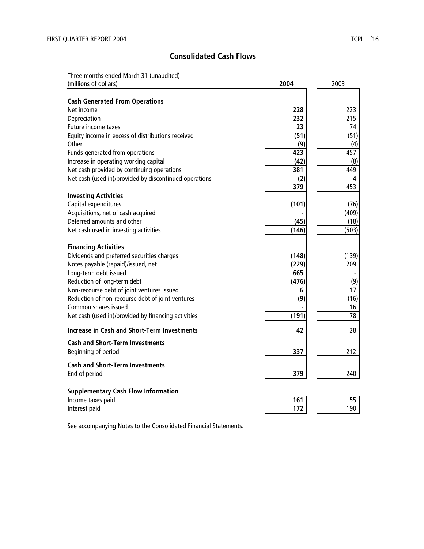# **Consolidated Cash Flows**

Three months ended March 31 (unaudited)

| (millions of dollars)                                                     | 2004             | 2003  |
|---------------------------------------------------------------------------|------------------|-------|
|                                                                           |                  |       |
| <b>Cash Generated From Operations</b><br>Net income                       | 228              | 223   |
| Depreciation                                                              | 232              | 215   |
| <b>Future income taxes</b>                                                | 23               | 74    |
| Equity income in excess of distributions received                         | (51)             | (51)  |
| Other                                                                     | (9)              | (4)   |
| Funds generated from operations                                           | $\overline{423}$ | 457   |
| Increase in operating working capital                                     | (42)             | (8)   |
| Net cash provided by continuing operations                                | 381              | 449   |
| Net cash (used in)/provided by discontinued operations                    | (2)              | 4     |
|                                                                           | 379              | 453   |
| <b>Investing Activities</b>                                               |                  |       |
| Capital expenditures                                                      | (101)            | (76)  |
| Acquisitions, net of cash acquired                                        |                  | (409) |
| Deferred amounts and other                                                | (45)             | (18)  |
| Net cash used in investing activities                                     | (146)            | (503) |
|                                                                           |                  |       |
| <b>Financing Activities</b><br>Dividends and preferred securities charges | (148)            | (139) |
| Notes payable (repaid)/issued, net                                        | (229)            | 209   |
| Long-term debt issued                                                     | 665              |       |
| Reduction of long-term debt                                               | (476)            | (9)   |
| Non-recourse debt of joint ventures issued                                | 6                | 17    |
| Reduction of non-recourse debt of joint ventures                          | (9)              | (16)  |
| Common shares issued                                                      |                  | 16    |
| Net cash (used in)/provided by financing activities                       | (191)            | 78    |
| <b>Increase in Cash and Short-Term Investments</b>                        | 42               | 28    |
| <b>Cash and Short-Term Investments</b>                                    |                  |       |
| Beginning of period                                                       | 337              | 212   |
|                                                                           |                  |       |
| <b>Cash and Short-Term Investments</b>                                    |                  |       |
| End of period                                                             | 379              | 240   |
| <b>Supplementary Cash Flow Information</b>                                |                  |       |
| Income taxes paid                                                         | 161              | 55    |
| Interest paid                                                             | 172              | 190   |
|                                                                           |                  |       |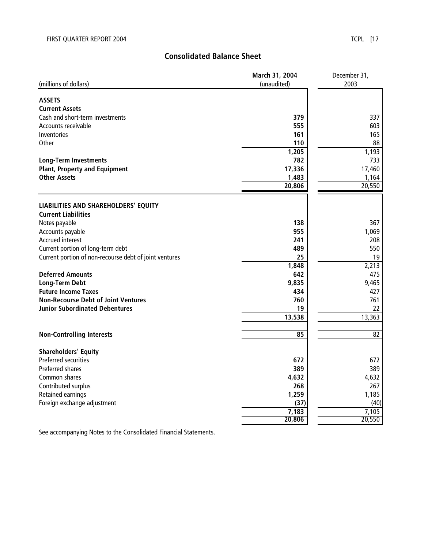# **Consolidated Balance Sheet**

|                                                        | March 31, 2004 | December 31,    |  |
|--------------------------------------------------------|----------------|-----------------|--|
| (millions of dollars)                                  | (unaudited)    | 2003            |  |
|                                                        |                |                 |  |
| <b>ASSETS</b>                                          |                |                 |  |
| <b>Current Assets</b>                                  |                |                 |  |
| Cash and short-term investments                        | 379            | 337             |  |
| Accounts receivable                                    | 555            | 603             |  |
| Inventories                                            | 161            | 165             |  |
| <b>Other</b>                                           | 110            | 88              |  |
|                                                        | 1,205          | 1,193           |  |
| <b>Long-Term Investments</b>                           | 782            | 733             |  |
| <b>Plant, Property and Equipment</b>                   | 17,336         | 17,460          |  |
| <b>Other Assets</b>                                    | 1,483          | 1,164           |  |
|                                                        | 20,806         | 20,550          |  |
|                                                        |                |                 |  |
| LIABILITIES AND SHAREHOLDERS' EQUITY                   |                |                 |  |
| <b>Current Liabilities</b>                             |                |                 |  |
| Notes payable                                          | 138            | 367             |  |
| Accounts payable                                       | 955            | 1,069           |  |
| <b>Accrued interest</b>                                | 241            | 208             |  |
| Current portion of long-term debt                      | 489            | 550             |  |
| Current portion of non-recourse debt of joint ventures | 25             | 19              |  |
|                                                        | 1,848          | 2,213           |  |
| <b>Deferred Amounts</b>                                | 642            | 475             |  |
| <b>Long-Term Debt</b>                                  | 9,835          | 9,465           |  |
| <b>Future Income Taxes</b>                             | 434            | 427             |  |
| <b>Non-Recourse Debt of Joint Ventures</b>             | 760            | 761             |  |
| <b>Junior Subordinated Debentures</b>                  | 19             | 22              |  |
|                                                        | 13,538         | 13,363          |  |
|                                                        |                |                 |  |
| <b>Non-Controlling Interests</b>                       | 85             | $\overline{82}$ |  |
|                                                        |                |                 |  |
| <b>Shareholders' Equity</b>                            |                |                 |  |
| <b>Preferred securities</b>                            | 672            | 672             |  |
| <b>Preferred shares</b>                                | 389            | 389             |  |
| Common shares                                          | 4,632          | 4,632           |  |
| Contributed surplus                                    | 268            | 267             |  |
| Retained earnings                                      | 1,259          | 1,185           |  |
| Foreign exchange adjustment                            | (37)           | (40)            |  |
|                                                        | 7,183          | 7,105           |  |
|                                                        | 20,806         | 20,550          |  |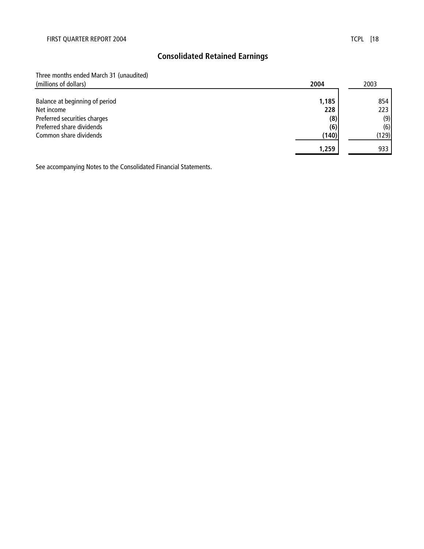# **Consolidated Retained Earnings**

Three months ended March 31 (unaudited)

| (millions of dollars)          | 2004  | 2003  |
|--------------------------------|-------|-------|
|                                |       |       |
| Balance at beginning of period | 1,185 | 854   |
| Net income                     | 228   | 223   |
| Preferred securities charges   | (8)   | (9)   |
| Preferred share dividends      | (6)   | (6)   |
| Common share dividends         | (140) | (129) |
|                                | 1,259 | 933   |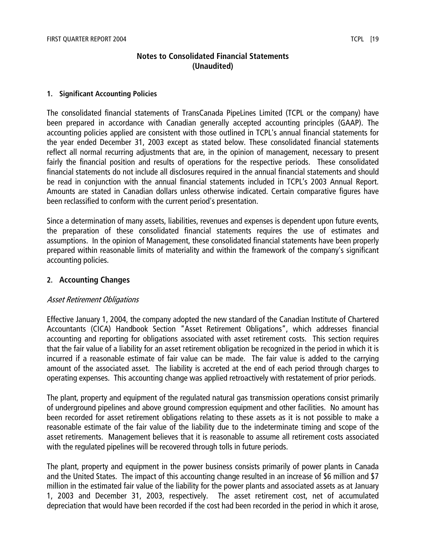# **Notes to Consolidated Financial Statements (Unaudited)**

#### **1. Significant Accounting Policies**

The consolidated financial statements of TransCanada PipeLines Limited (TCPL or the company) have been prepared in accordance with Canadian generally accepted accounting principles (GAAP). The accounting policies applied are consistent with those outlined in TCPL's annual financial statements for the year ended December 31, 2003 except as stated below. These consolidated financial statements reflect all normal recurring adjustments that are, in the opinion of management, necessary to present fairly the financial position and results of operations for the respective periods. These consolidated financial statements do not include all disclosures required in the annual financial statements and should be read in conjunction with the annual financial statements included in TCPL's 2003 Annual Report. Amounts are stated in Canadian dollars unless otherwise indicated. Certain comparative figures have been reclassified to conform with the current period's presentation.

Since a determination of many assets, liabilities, revenues and expenses is dependent upon future events, the preparation of these consolidated financial statements requires the use of estimates and assumptions. In the opinion of Management, these consolidated financial statements have been properly prepared within reasonable limits of materiality and within the framework of the company's significant accounting policies.

## **2. Accounting Changes**

## Asset Retirement Obligations

Effective January 1, 2004, the company adopted the new standard of the Canadian Institute of Chartered Accountants (CICA) Handbook Section "Asset Retirement Obligations", which addresses financial accounting and reporting for obligations associated with asset retirement costs. This section requires that the fair value of a liability for an asset retirement obligation be recognized in the period in which it is incurred if a reasonable estimate of fair value can be made. The fair value is added to the carrying amount of the associated asset. The liability is accreted at the end of each period through charges to operating expenses. This accounting change was applied retroactively with restatement of prior periods.

The plant, property and equipment of the regulated natural gas transmission operations consist primarily of underground pipelines and above ground compression equipment and other facilities. No amount has been recorded for asset retirement obligations relating to these assets as it is not possible to make a reasonable estimate of the fair value of the liability due to the indeterminate timing and scope of the asset retirements. Management believes that it is reasonable to assume all retirement costs associated with the regulated pipelines will be recovered through tolls in future periods.

The plant, property and equipment in the power business consists primarily of power plants in Canada and the United States. The impact of this accounting change resulted in an increase of \$6 million and \$7 million in the estimated fair value of the liability for the power plants and associated assets as at January 1, 2003 and December 31, 2003, respectively. The asset retirement cost, net of accumulated depreciation that would have been recorded if the cost had been recorded in the period in which it arose,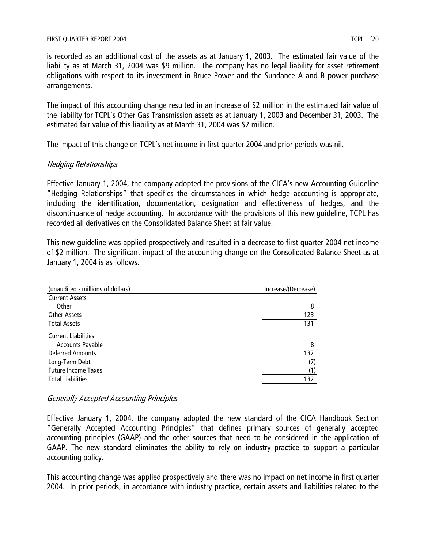is recorded as an additional cost of the assets as at January 1, 2003. The estimated fair value of the liability as at March 31, 2004 was \$9 million. The company has no legal liability for asset retirement obligations with respect to its investment in Bruce Power and the Sundance A and B power purchase arrangements.

The impact of this accounting change resulted in an increase of \$2 million in the estimated fair value of the liability for TCPL's Other Gas Transmission assets as at January 1, 2003 and December 31, 2003. The estimated fair value of this liability as at March 31, 2004 was \$2 million.

The impact of this change on TCPL's net income in first quarter 2004 and prior periods was nil.

# Hedging Relationships

Effective January 1, 2004, the company adopted the provisions of the CICA's new Accounting Guideline "Hedging Relationships" that specifies the circumstances in which hedge accounting is appropriate, including the identification, documentation, designation and effectiveness of hedges, and the discontinuance of hedge accounting. In accordance with the provisions of this new guideline, TCPL has recorded all derivatives on the Consolidated Balance Sheet at fair value.

This new guideline was applied prospectively and resulted in a decrease to first quarter 2004 net income of \$2 million. The significant impact of the accounting change on the Consolidated Balance Sheet as at January 1, 2004 is as follows.

| (unaudited - millions of dollars) | Increase/(Decrease) |  |  |
|-----------------------------------|---------------------|--|--|
| <b>Current Assets</b>             |                     |  |  |
| Other                             | 8                   |  |  |
| <b>Other Assets</b>               | 123                 |  |  |
| <b>Total Assets</b>               | 131                 |  |  |
| <b>Current Liabilities</b>        |                     |  |  |
| <b>Accounts Payable</b>           | 8                   |  |  |
| <b>Deferred Amounts</b>           | 132                 |  |  |
| Long-Term Debt                    | (7)                 |  |  |
| <b>Future Income Taxes</b>        | (1)                 |  |  |
| <b>Total Liabilities</b>          | 132                 |  |  |

# Generally Accepted Accounting Principles

Effective January 1, 2004, the company adopted the new standard of the CICA Handbook Section "Generally Accepted Accounting Principles" that defines primary sources of generally accepted accounting principles (GAAP) and the other sources that need to be considered in the application of GAAP. The new standard eliminates the ability to rely on industry practice to support a particular accounting policy.

This accounting change was applied prospectively and there was no impact on net income in first quarter 2004. In prior periods, in accordance with industry practice, certain assets and liabilities related to the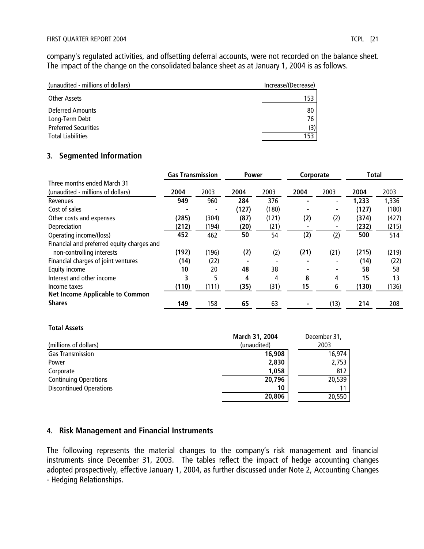company's regulated activities, and offsetting deferral accounts, were not recorded on the balance sheet. The impact of the change on the consolidated balance sheet as at January 1, 2004 is as follows.

| (unaudited - millions of dollars)             | Increase/(Decrease) |
|-----------------------------------------------|---------------------|
| Other Assets                                  | 153                 |
| <b>Deferred Amounts</b>                       | 80                  |
| Long-Term Debt<br><b>Preferred Securities</b> | 76<br>(3)           |
| <b>Total Liabilities</b>                      | 153                 |

# **3. Segmented Information**

|                                            | <b>Gas Transmission</b> |       | <b>Power</b> |       | Corporate |      | Total |       |
|--------------------------------------------|-------------------------|-------|--------------|-------|-----------|------|-------|-------|
| Three months ended March 31                |                         |       |              |       |           |      |       |       |
| (unaudited - millions of dollars)          | 2004                    | 2003  | 2004         | 2003  | 2004      | 2003 | 2004  | 2003  |
| Revenues                                   | 949                     | 960   | 284          | 376   |           |      | 1,233 | 1,336 |
| Cost of sales                              |                         |       | (127)        | (180) |           |      | (127) | (180) |
| Other costs and expenses                   | (285)                   | (304) | (87)         | (121) | (2)       | (2)  | (374) | (427) |
| Depreciation                               | (212)                   | (194) | (20)         | (21)  |           |      | (232) | (215) |
| Operating income/(loss)                    | 452                     | 462   | 50           | 54    | (2)       | (2)  | 500   | 514   |
| Financial and preferred equity charges and |                         |       |              |       |           |      |       |       |
| non-controlling interests                  | (192)                   | (196) | (2)          | (2)   | (21)      | (21) | (215) | (219) |
| Financial charges of joint ventures        | (14)                    | (22)  |              |       |           |      | (14)  | (22)  |
| Equity income                              | 10                      | 20    | 48           | 38    |           |      | 58    | 58    |
| Interest and other income                  | 3                       | 5     | 4            | 4     | 8         | 4    | 15    | 13    |
| Income taxes                               | (110)                   | (111) | (35)         | (31)  | 15        | 6    | (130) | (136) |
| <b>Net Income Applicable to Common</b>     |                         |       |              |       |           |      |       |       |
| <b>Shares</b>                              | 149                     | 158   | 65           | 63    |           | (13) | 214   | 208   |

#### **Total Assets**

|                                | March 31, 2004 | December 31, |
|--------------------------------|----------------|--------------|
| (millions of dollars)          | (unaudited)    | 2003         |
| <b>Gas Transmission</b>        | 16,908         | 16,974       |
| Power                          | 2,830          | 2,753        |
| Corporate                      | 1,058          | 812          |
| <b>Continuing Operations</b>   | 20,796         | 20,539       |
| <b>Discontinued Operations</b> | 10             |              |
|                                | 20,806         | 20,550       |

# **4. Risk Management and Financial Instruments**

The following represents the material changes to the company's risk management and financial instruments since December 31, 2003. The tables reflect the impact of hedge accounting changes adopted prospectively, effective January 1, 2004, as further discussed under Note 2, Accounting Changes - Hedging Relationships.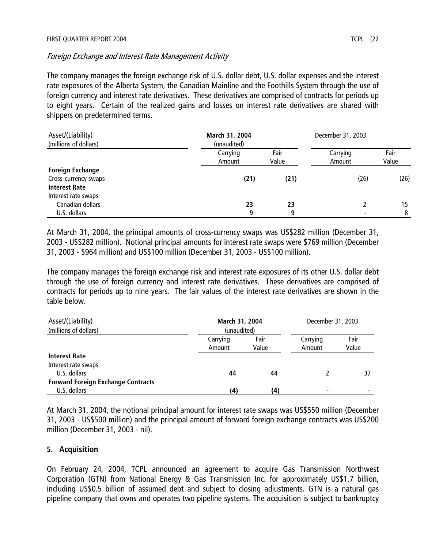#### Foreign Exchange and Interest Rate Management Activity

The company manages the foreign exchange risk of U.S. dollar debt, U.S. dollar expenses and the interest rate exposures of the Alberta System, the Canadian Mainline and the Foothills System through the use of foreign currency and interest rate derivatives. These derivatives are comprised of contracts for periods up to eight years. Certain of the realized gains and losses on interest rate derivatives are shared with shippers on predetermined terms.

| Asset/(Liability)<br>(millions of dollars) | March 31, 2004<br>(unaudited) |               | December 31, 2003        |               |  |
|--------------------------------------------|-------------------------------|---------------|--------------------------|---------------|--|
|                                            | Carrying<br>Amount            | Fair<br>Value | Carrying<br>Amount       | Fair<br>Value |  |
| <b>Foreign Exchange</b>                    |                               |               |                          |               |  |
| Cross-currency swaps                       | (21)                          | (21)          | (26)                     | (26)          |  |
| <b>Interest Rate</b>                       |                               |               |                          |               |  |
| Interest rate swaps                        |                               |               |                          |               |  |
| Canadian dollars                           | 23                            | 23            |                          | 15            |  |
| U.S. dollars                               | 9                             | 9             | $\overline{\phantom{0}}$ | 8             |  |

At March 31, 2004, the principal amounts of cross-currency swaps was US\$282 million (December 31, 2003 - US\$282 million). Notional principal amounts for interest rate swaps were \$769 million (December 31, 2003 - \$964 million) and US\$100 million (December 31, 2003 - US\$100 million).

The company manages the foreign exchange risk and interest rate exposures of its other U.S. dollar debt through the use of foreign currency and interest rate derivatives. These derivatives are comprised of contracts for periods up to nine years. The fair values of the interest rate derivatives are shown in the table below.

| Asset/(Liability)                         |             | March 31, 2004 |          | December 31, 2003 |  |  |
|-------------------------------------------|-------------|----------------|----------|-------------------|--|--|
| (millions of dollars)                     | (unaudited) |                |          |                   |  |  |
|                                           | Carrying    | Fair           | Carrying | Fair              |  |  |
|                                           | Amount      | Value          | Amount   | Value             |  |  |
| <b>Interest Rate</b>                      |             |                |          |                   |  |  |
| Interest rate swaps                       |             |                |          |                   |  |  |
| U.S. dollars                              | 44          | 44             |          | 37                |  |  |
| <b>Forward Foreign Exchange Contracts</b> |             |                |          |                   |  |  |
| U.S. dollars                              | (4)         | (4)            |          |                   |  |  |

At March 31, 2004, the notional principal amount for interest rate swaps was US\$550 million (December 31, 2003 - US\$500 million) and the principal amount of forward foreign exchange contracts was US\$200 million (December 31, 2003 - nil).

## **5. Acquisition**

On February 24, 2004, TCPL announced an agreement to acquire Gas Transmission Northwest Corporation (GTN) from National Energy & Gas Transmission Inc. for approximately US\$1.7 billion, including US\$0.5 billion of assumed debt and subject to closing adjustments. GTN is a natural gas pipeline company that owns and operates two pipeline systems. The acquisition is subject to bankruptcy